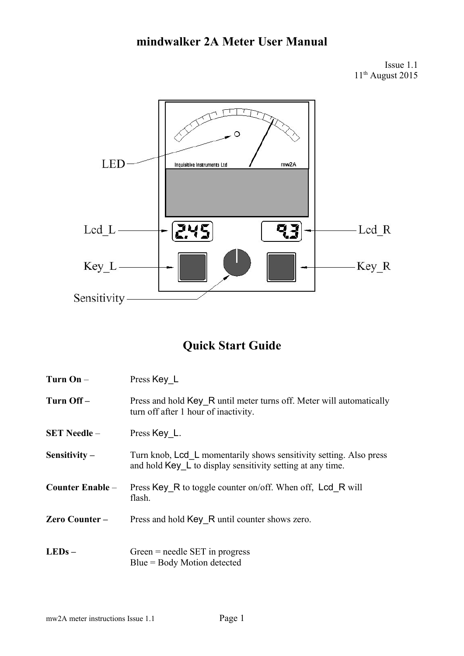# **mindwalker 2A Meter User Manual**

Issue 1.1 11<sup>th</sup> August 2015



# **Quick Start Guide**

| Turn $On -$         | Press Key L                                                                                                                           |
|---------------------|---------------------------------------------------------------------------------------------------------------------------------------|
| Turn Off-           | Press and hold Key R until meter turns off. Meter will automatically<br>turn off after 1 hour of inactivity.                          |
| <b>SET Needle –</b> | Press Key L.                                                                                                                          |
| Sensitivity $-$     | Turn knob, Lcd L momentarily shows sensitivity setting. Also press<br>and hold $Key \, L$ to display sensitivity setting at any time. |
| Counter Enable –    | Press Key R to toggle counter on/off. When off, Lcd R will<br>flash.                                                                  |
| Zero Counter-       | Press and hold Key R until counter shows zero.                                                                                        |
| $LEDs -$            | Green $=$ needle SET in progress<br>$Blue = Body Motion detected$                                                                     |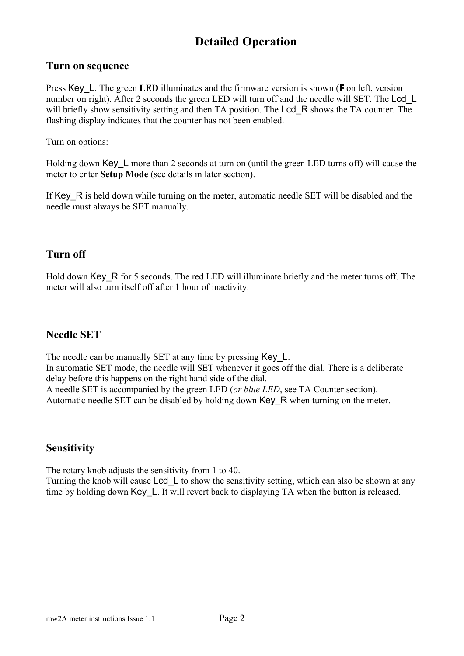# **Detailed Operation**

#### **Turn on sequence**

Press Key\_L. The green **LED** illuminates and the firmware version is shown (**F** on left, version number on right). After 2 seconds the green LED will turn off and the needle will SET. The Lcd L will briefly show sensitivity setting and then TA position. The Lcd R shows the TA counter. The flashing display indicates that the counter has not been enabled.

Turn on options:

Holding down Key L more than 2 seconds at turn on (until the green LED turns off) will cause the meter to enter **Setup Mode** (see details in later section).

If Key R is held down while turning on the meter, automatic needle SET will be disabled and the needle must always be SET manually.

### **Turn off**

Hold down Key, R for 5 seconds. The red LED will illuminate briefly and the meter turns off. The meter will also turn itself off after 1 hour of inactivity.

### **Needle SET**

The needle can be manually SET at any time by pressing Key L. In automatic SET mode, the needle will SET whenever it goes off the dial. There is a deliberate delay before this happens on the right hand side of the dial. A needle SET is accompanied by the green LED (*or blue LED*, see TA Counter section). Automatic needle SET can be disabled by holding down Key\_R when turning on the meter.

### **Sensitivity**

The rotary knob adjusts the sensitivity from 1 to 40.

Turning the knob will cause Lcd L to show the sensitivity setting, which can also be shown at any time by holding down Key L. It will revert back to displaying TA when the button is released.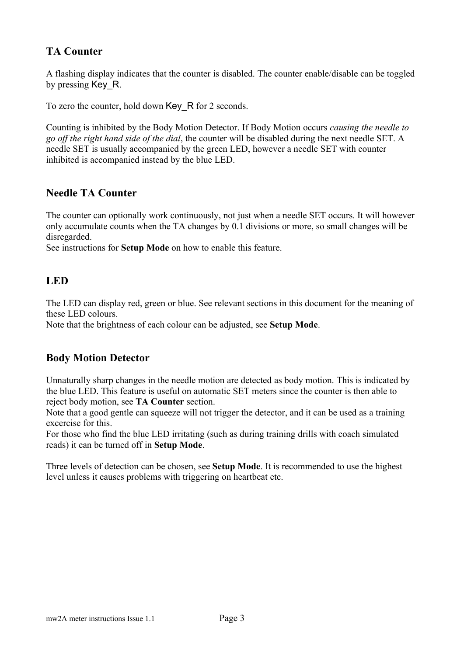# **TA Counter**

A flashing display indicates that the counter is disabled. The counter enable/disable can be toggled by pressing Key R.

To zero the counter, hold down Key\_R for 2 seconds.

Counting is inhibited by the Body Motion Detector. If Body Motion occurs *causing the needle to go off the right hand side of the dial*, the counter will be disabled during the next needle SET. A needle SET is usually accompanied by the green LED, however a needle SET with counter inhibited is accompanied instead by the blue LED.

## **Needle TA Counter**

The counter can optionally work continuously, not just when a needle SET occurs. It will however only accumulate counts when the TA changes by 0.1 divisions or more, so small changes will be disregarded.

See instructions for **Setup Mode** on how to enable this feature.

### **LED**

The LED can display red, green or blue. See relevant sections in this document for the meaning of these LED colours.

Note that the brightness of each colour can be adjusted, see **Setup Mode**.

## **Body Motion Detector**

Unnaturally sharp changes in the needle motion are detected as body motion. This is indicated by the blue LED. This feature is useful on automatic SET meters since the counter is then able to reject body motion, see **TA Counter** section.

Note that a good gentle can squeeze will not trigger the detector, and it can be used as a training excercise for this.

For those who find the blue LED irritating (such as during training drills with coach simulated reads) it can be turned off in **Setup Mode**.

Three levels of detection can be chosen, see **Setup Mode**. It is recommended to use the highest level unless it causes problems with triggering on heartbeat etc.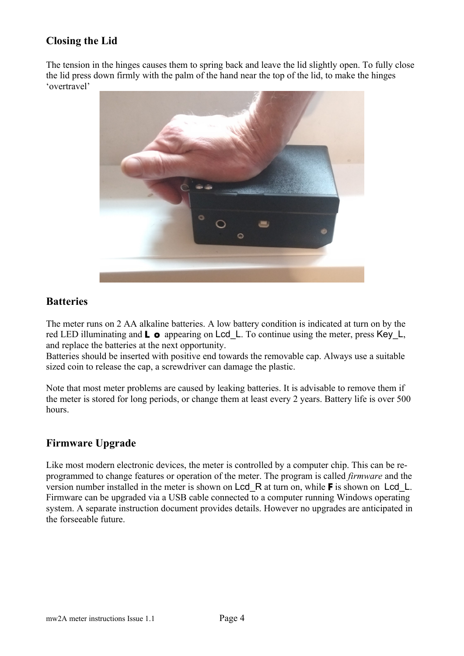# **Closing the Lid**

The tension in the hinges causes them to spring back and leave the lid slightly open. To fully close the lid press down firmly with the palm of the hand near the top of the lid, to make the hinges 'overtravel'



#### **Batteries**

The meter runs on 2 AA alkaline batteries. A low battery condition is indicated at turn on by the red LED illuminating and **L o** appearing on Lcd\_L. To continue using the meter, press Key\_L, and replace the batteries at the next opportunity.

Batteries should be inserted with positive end towards the removable cap. Always use a suitable sized coin to release the cap, a screwdriver can damage the plastic.

Note that most meter problems are caused by leaking batteries. It is advisable to remove them if the meter is stored for long periods, or change them at least every 2 years. Battery life is over 500 hours.

### **Firmware Upgrade**

Like most modern electronic devices, the meter is controlled by a computer chip. This can be reprogrammed to change features or operation of the meter. The program is called *firmware* and the version number installed in the meter is shown on Lcd\_R at turn on, while **F** is shown on Lcd\_L. Firmware can be upgraded via a USB cable connected to a computer running Windows operating system. A separate instruction document provides details. However no upgrades are anticipated in the forseeable future.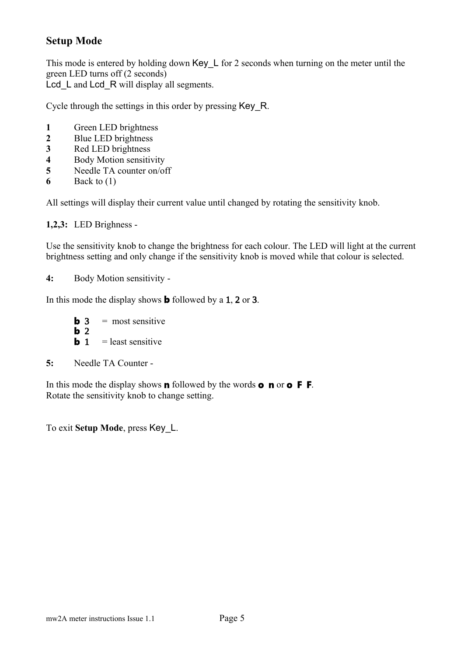## **Setup Mode**

This mode is entered by holding down Key L for 2 seconds when turning on the meter until the green LED turns off (2 seconds) Lcd L and Lcd R will display all segments.

Cycle through the settings in this order by pressing Key\_R.

- **1** Green LED brightness
- **2** Blue LED brightness
- **3** Red LED brightness
- **4** Body Motion sensitivity<br>**5** Needle TA counter on/o
- **5** Needle TA counter on/off
- **6** Back to (1)

All settings will display their current value until changed by rotating the sensitivity knob.

**1,2,3:** LED Brighness -

Use the sensitivity knob to change the brightness for each colour. The LED will light at the current brightness setting and only change if the sensitivity knob is moved while that colour is selected.

**4:** Body Motion sensitivity -

In this mode the display shows **b** followed by a 1, 2 or 3.

**b** 3 = most sensitive **b** 2 **b** 1 = least sensitive

**5:** Needle TA Counter -

In this mode the display shows **n** followed by the words **o n** or **o F F** . Rotate the sensitivity knob to change setting.

To exit **Setup Mode**, press Key\_L.